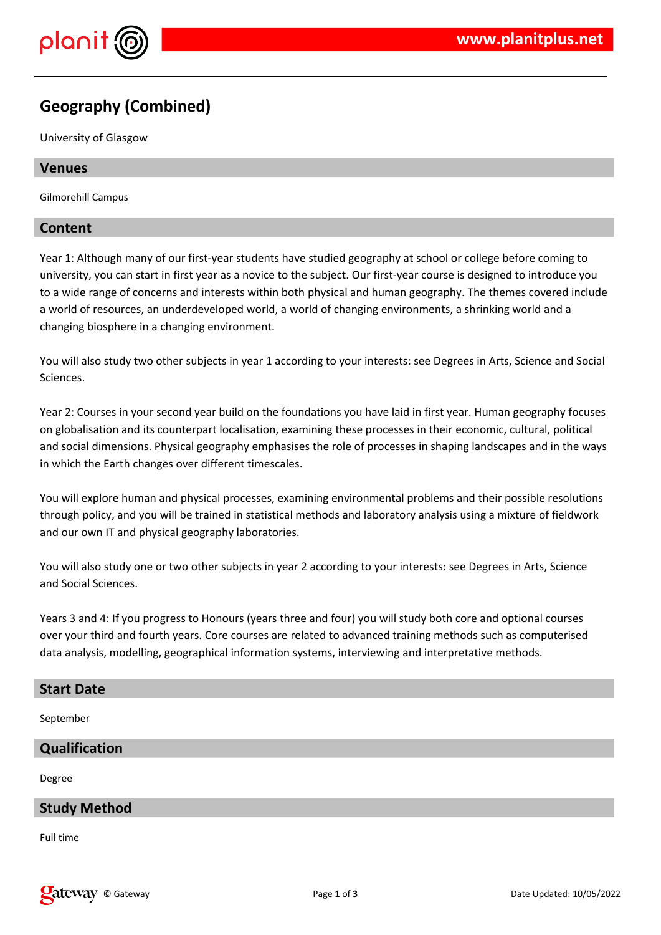

# **Geography (Combined)**

University of Glasgow

### **Venues**

Gilmorehill Campus

### **Content**

Year 1: Although many of our first-year students have studied geography at school or college before coming to university, you can start in first year as a novice to the subject. Our first-year course is designed to introduce you to a wide range of concerns and interests within both physical and human geography. The themes covered include a world of resources, an underdeveloped world, a world of changing environments, a shrinking world and a changing biosphere in a changing environment.

You will also study two other subjects in year 1 according to your interests: see Degrees in Arts, Science and Social Sciences.

Year 2: Courses in your second year build on the foundations you have laid in first year. Human geography focuses on globalisation and its counterpart localisation, examining these processes in their economic, cultural, political and social dimensions. Physical geography emphasises the role of processes in shaping landscapes and in the ways in which the Earth changes over different timescales.

You will explore human and physical processes, examining environmental problems and their possible resolutions through policy, and you will be trained in statistical methods and laboratory analysis using a mixture of fieldwork and our own IT and physical geography laboratories.

You will also study one or two other subjects in year 2 according to your interests: see Degrees in Arts, Science and Social Sciences.

Years 3 and 4: If you progress to Honours (years three and four) you will study both core and optional courses over your third and fourth years. Core courses are related to advanced training methods such as computerised data analysis, modelling, geographical information systems, interviewing and interpretative methods.

## **Start Date**

September

## **Qualification**

Degree

## **Study Method**

Full time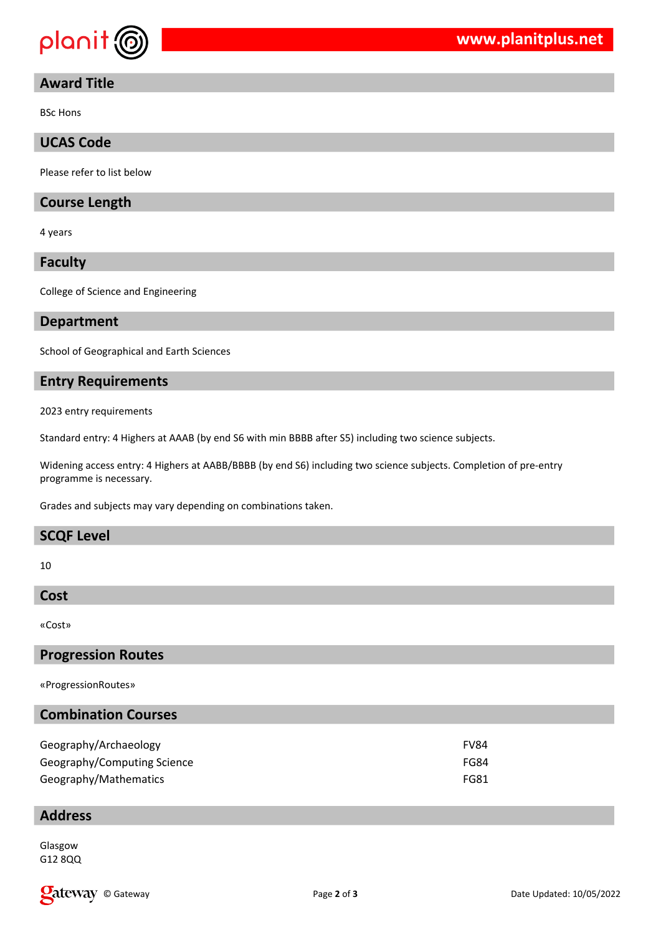

# **Award Title**

BSc Hons

# **UCAS Code**

Please refer to list below

### **Course Length**

4 years

#### **Faculty**

College of Science and Engineering

#### **Department**

School of Geographical and Earth Sciences

## **Entry Requirements**

2023 entry requirements

Standard entry: 4 Highers at AAAB (by end S6 with min BBBB after S5) including two science subjects.

Widening access entry: 4 Highers at AABB/BBBB (by end S6) including two science subjects. Completion of pre-entry programme is necessary.

Grades and subjects may vary depending on combinations taken.

# **SCQF Level**

10

#### **Cost**

«Cost»

# **Progression Routes**

«ProgressionRoutes»

# **Combination Courses**

| Geography/Archaeology       | <b>FV84</b> |
|-----------------------------|-------------|
| Geography/Computing Science | FG84        |
| Geography/Mathematics       | <b>FG81</b> |

#### **Address**

Glasgow G12 8QQ